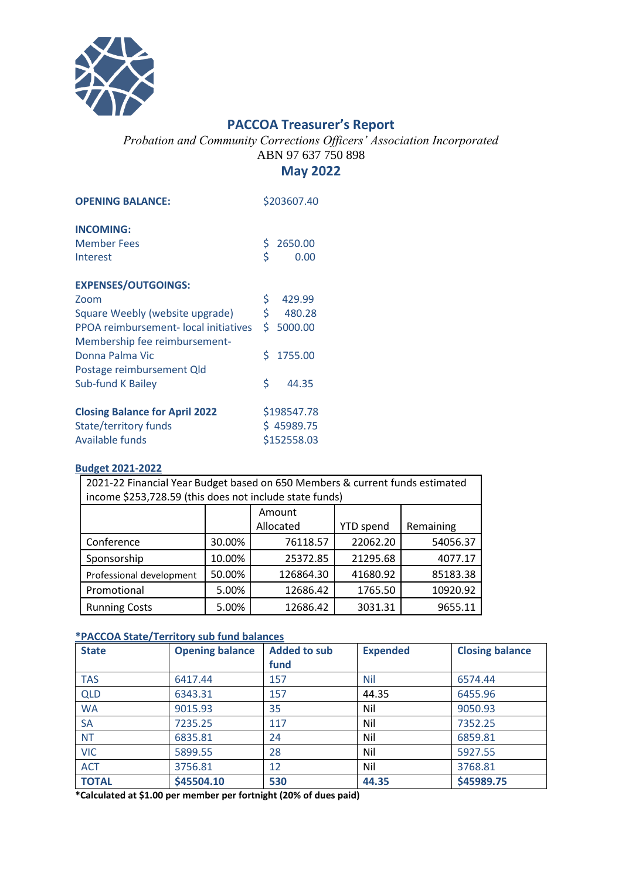

## **PACCOA Treasurer's Report**

*Probation and Community Corrections Officers' Association Incorporated* ABN 97 637 750 898

## **May 2022**

| <b>OPENING BALANCE:</b>               | \$203607.40 |           |  |
|---------------------------------------|-------------|-----------|--|
| <b>INCOMING:</b>                      |             |           |  |
| <b>Member Fees</b>                    | \$          | 2650.00   |  |
| Interest                              | \$          | 0.00      |  |
| <b>EXPENSES/OUTGOINGS:</b>            |             |           |  |
| Zoom                                  | \$          | 429.99    |  |
| Square Weebly (website upgrade)       | \$.         | 480.28    |  |
| PPOA reimbursement-local initiatives  |             | \$5000.00 |  |
| Membership fee reimbursement-         |             |           |  |
| Donna Palma Vic                       | Ś.          | 1755.00   |  |
| Postage reimbursement Qld             |             |           |  |
| <b>Sub-fund K Bailey</b>              | Ś           | 44.35     |  |
| <b>Closing Balance for April 2022</b> | \$198547.78 |           |  |
| <b>State/territory funds</b>          | \$45989.75  |           |  |
| Available funds                       | \$152558.03 |           |  |

## **Budget 2021-2022**

| 2021-22 Financial Year Budget based on 650 Members & current funds estimated<br>income \$253,728.59 (this does not include state funds) |        |                     |                  |           |  |  |  |
|-----------------------------------------------------------------------------------------------------------------------------------------|--------|---------------------|------------------|-----------|--|--|--|
|                                                                                                                                         |        | Amount<br>Allocated | <b>YTD</b> spend | Remaining |  |  |  |
| Conference                                                                                                                              | 30.00% | 76118.57            | 22062.20         | 54056.37  |  |  |  |
| Sponsorship                                                                                                                             | 10.00% | 25372.85            | 21295.68         | 4077.17   |  |  |  |
| Professional development                                                                                                                | 50.00% | 126864.30           | 41680.92         | 85183.38  |  |  |  |
| Promotional                                                                                                                             | 5.00%  | 12686.42            | 1765.50          | 10920.92  |  |  |  |
| <b>Running Costs</b>                                                                                                                    | 5.00%  | 12686.42            | 3031.31          | 9655.11   |  |  |  |

## **\*PACCOA State/Territory sub fund balances**

| <b>State</b> | <b>Opening balance</b> | <b>Added to sub</b> | <b>Expended</b> | <b>Closing balance</b> |
|--------------|------------------------|---------------------|-----------------|------------------------|
|              |                        | fund                |                 |                        |
| <b>TAS</b>   | 6417.44                | 157                 | Nil             | 6574.44                |
| <b>QLD</b>   | 6343.31                | 157                 | 44.35           | 6455.96                |
| <b>WA</b>    | 9015.93                | 35                  | Nil             | 9050.93                |
| <b>SA</b>    | 7235.25                | 117                 | Nil             | 7352.25                |
| <b>NT</b>    | 6835.81                | 24                  | Nil             | 6859.81                |
| <b>VIC</b>   | 5899.55                | 28                  | Nil             | 5927.55                |
| <b>ACT</b>   | 3756.81                | 12                  | Nil             | 3768.81                |
| <b>TOTAL</b> | \$45504.10             | 530                 | 44.35           | \$45989.75             |

**\*Calculated at \$1.00 per member per fortnight (20% of dues paid)**